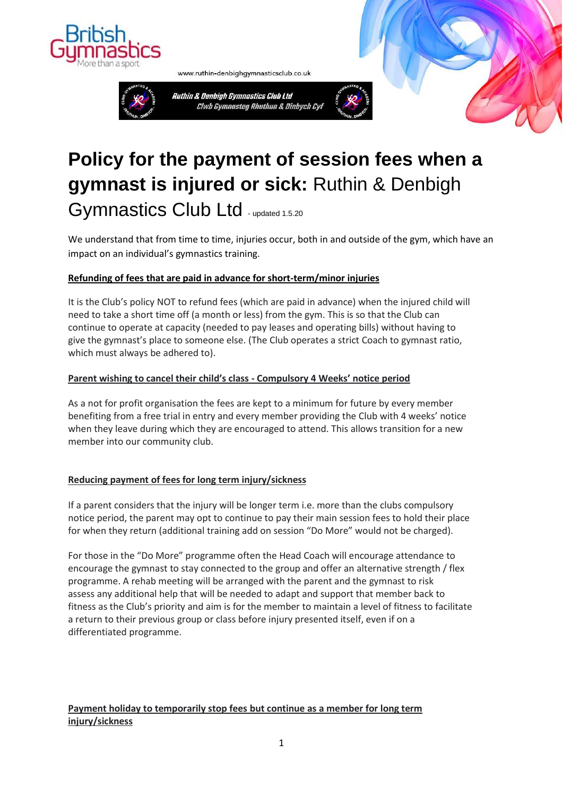



www.ruthin-denbighgymnasticsclub.co.uk





We understand that from time to time, injuries occur, both in and outside of the gym, which have an impact on an individual's gymnastics training.

## **Refunding of fees that are paid in advance for short-term/minor injuries**

It is the Club's policy NOT to refund fees (which are paid in advance) when the injured child will need to take a short time off (a month or less) from the gym. This is so that the Club can continue to operate at capacity (needed to pay leases and operating bills) without having to give the gymnast's place to someone else. (The Club operates a strict Coach to gymnast ratio, which must always be adhered to).

#### **Parent wishing to cancel their child's class - Compulsory 4 Weeks' notice period**

As a not for profit organisation the fees are kept to a minimum for future by every member benefiting from a free trial in entry and every member providing the Club with 4 weeks' notice when they leave during which they are encouraged to attend. This allows transition for a new member into our community club.

## **Reducing payment of fees for long term injury/sickness**

If a parent considers that the injury will be longer term i.e. more than the clubs compulsory notice period, the parent may opt to continue to pay their main session fees to hold their place for when they return (additional training add on session "Do More" would not be charged).

For those in the "Do More" programme often the Head Coach will encourage attendance to encourage the gymnast to stay connected to the group and offer an alternative strength / flex programme. A rehab meeting will be arranged with the parent and the gymnast to risk assess any additional help that will be needed to adapt and support that member back to fitness as the Club's priority and aim is for the member to maintain a level of fitness to facilitate a return to their previous group or class before injury presented itself, even if on a differentiated programme.

# **Payment holiday to temporarily stop fees but continue as a member for long term injury/sickness**